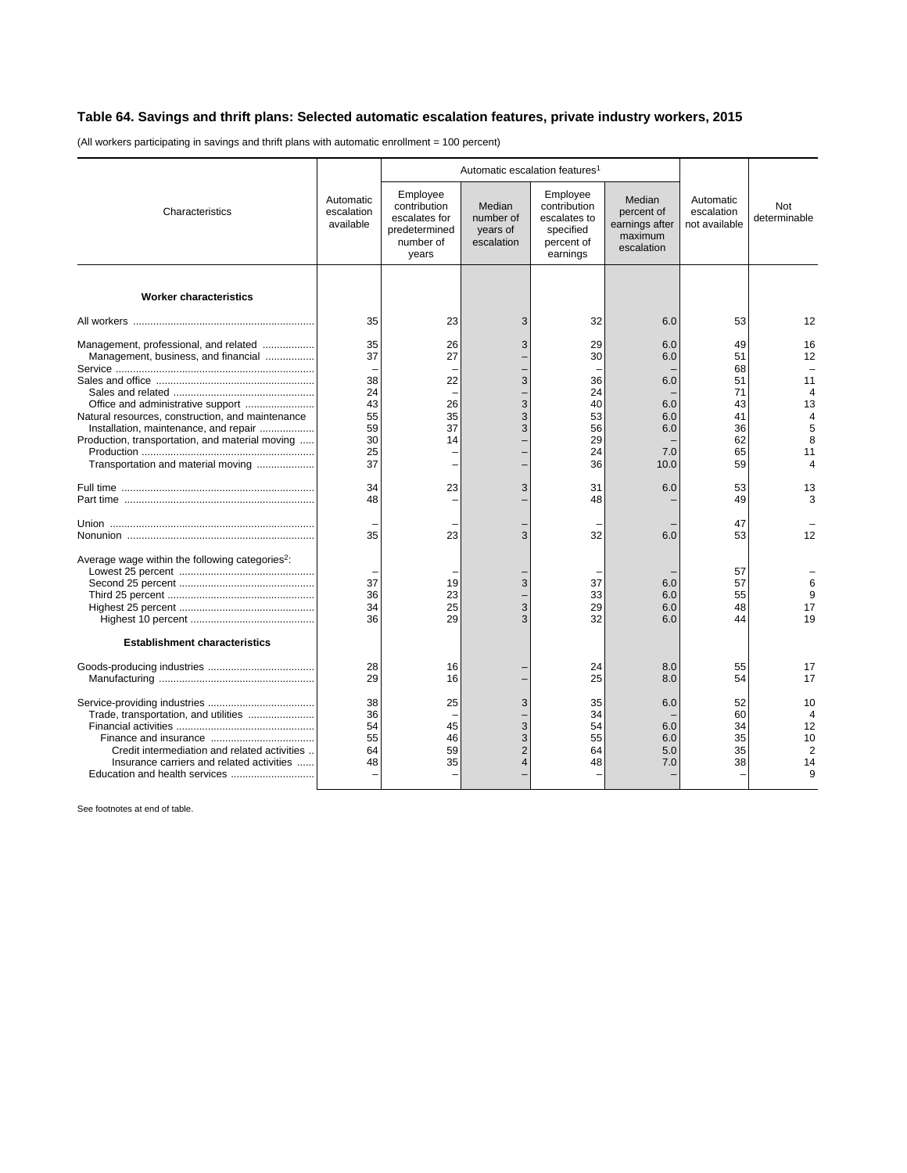## **Table 64. Savings and thrift plans: Selected automatic escalation features, private industry workers, 2015**

(All workers participating in savings and thrift plans with automatic enrollment = 100 percent)

|                                                                                           |                                      | Automatic escalation features <sup>1</sup>                                       |                                               |                                                                                 |                                                                 |                                          |                                                               |
|-------------------------------------------------------------------------------------------|--------------------------------------|----------------------------------------------------------------------------------|-----------------------------------------------|---------------------------------------------------------------------------------|-----------------------------------------------------------------|------------------------------------------|---------------------------------------------------------------|
| Characteristics                                                                           | Automatic<br>escalation<br>available | Employee<br>contribution<br>escalates for<br>predetermined<br>number of<br>years | Median<br>number of<br>years of<br>escalation | Employee<br>contribution<br>escalates to<br>specified<br>percent of<br>earnings | Median<br>percent of<br>earnings after<br>maximum<br>escalation | Automatic<br>escalation<br>not available | Not<br>determinable                                           |
| <b>Worker characteristics</b>                                                             |                                      |                                                                                  |                                               |                                                                                 |                                                                 |                                          |                                                               |
|                                                                                           | 35                                   | 23                                                                               | 3                                             | 32                                                                              |                                                                 | 53                                       |                                                               |
|                                                                                           |                                      |                                                                                  |                                               |                                                                                 | 6.0                                                             |                                          | 12                                                            |
| Management, professional, and related<br>Management, business, and financial              | 35<br>37                             | 26<br>27                                                                         | 3                                             | 29<br>30                                                                        | 6.0<br>6.0                                                      | 49<br>51<br>68                           | 16<br>12                                                      |
|                                                                                           | 38<br>24                             | 22                                                                               | 3                                             | 36<br>24                                                                        | 6.0                                                             | 51<br>71                                 | 11<br>4                                                       |
| Natural resources, construction, and maintenance<br>Installation, maintenance, and repair | 43<br>55<br>59                       | 26<br>35<br>37                                                                   | 3<br>3<br>3                                   | 40<br>53<br>56                                                                  | 6.0<br>6.0<br>6.0                                               | 43<br>41<br>36                           | 13<br>4<br>5                                                  |
| Production, transportation, and material moving                                           | 30                                   | 14                                                                               |                                               | 29                                                                              |                                                                 | 62                                       | 8                                                             |
| Transportation and material moving                                                        | 25<br>37                             | $\overline{\phantom{0}}$                                                         |                                               | 24<br>36                                                                        | 7.0<br>10.0                                                     | 65<br>59                                 | 11<br>4                                                       |
|                                                                                           | 34<br>48                             | 23<br>-                                                                          | 3                                             | 31<br>48                                                                        | 6.0                                                             | 53<br>49                                 | 13<br>3                                                       |
|                                                                                           | 35                                   | 23                                                                               | 3                                             | 32                                                                              | 6.0                                                             | 47<br>53                                 | 12                                                            |
| Average wage within the following categories <sup>2</sup> :                               |                                      |                                                                                  |                                               |                                                                                 |                                                                 | 57                                       |                                                               |
|                                                                                           | 37<br>36<br>34                       | 19<br>23<br>25                                                                   | 3<br>3                                        | 37<br>33<br>29                                                                  | 6.0<br>6.0<br>6.0                                               | 57<br>55<br>48                           | 6<br>9<br>17                                                  |
|                                                                                           | 36                                   | 29                                                                               | 3                                             | 32                                                                              | 6.0                                                             | 44                                       | 19                                                            |
| <b>Establishment characteristics</b>                                                      |                                      |                                                                                  |                                               |                                                                                 |                                                                 |                                          |                                                               |
|                                                                                           | 28<br>29                             | 16<br>16                                                                         |                                               | 24<br>25                                                                        | 8.0<br>8.0                                                      | 55<br>54                                 | 17<br>17                                                      |
| Credit intermediation and related activities<br>Insurance carriers and related activities | 38<br>36<br>54<br>55<br>64<br>48     | 25<br>45<br>46<br>59<br>35                                                       | 3<br>3<br>3<br>$\overline{2}$<br>4            | 35<br>34<br>54<br>55<br>64<br>48                                                | 6.0<br>6.0<br>6.0<br>5.0<br>7.0                                 | 52<br>60<br>34<br>35<br>35<br>38         | 10<br>$\overline{4}$<br>12<br>10<br>$\overline{2}$<br>14<br>9 |

See footnotes at end of table.